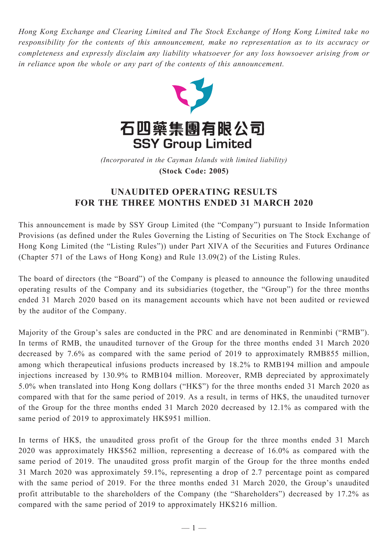*Hong Kong Exchange and Clearing Limited and The Stock Exchange of Hong Kong Limited take no responsibility for the contents of this announcement, make no representation as to its accuracy or completeness and expressly disclaim any liability whatsoever for any loss howsoever arising from or in reliance upon the whole or any part of the contents of this announcement.*



(Incorporated in the Cayman Islands with limited liability) **(Stock Code: 2005)** *(Incorporated in the Cayman Islands with limited liability)* **(Stock Code: 2005)**

## **UNAUDITED OPERATING RESULTS FOR THE THREE MONTHS ENDED 31 MARCH 2020**

This announcement is made by SSY Group Limited (the "Company") pursuant to Inside Information Provisions (as defined under the Rules Governing the Listing of Securities on The Stock Exchange of Hong Kong Limited (the "Listing Rules")) under Part XIVA of the Securities and Futures Ordinance (Chapter 571 of the Laws of Hong Kong) and Rule 13.09(2) of the Listing Rules.

The board of directors (the "Board") of the Company is pleased to announce the following unaudited operating results of the Company and its subsidiaries (together, the "Group") for the three months ended 31 March 2020 based on its management accounts which have not been audited or reviewed by the auditor of the Company.

Majority of the Group's sales are conducted in the PRC and are denominated in Renminbi ("RMB"). In terms of RMB, the unaudited turnover of the Group for the three months ended 31 March 2020 decreased by 7.6% as compared with the same period of 2019 to approximately RMB855 million, among which therapeutical infusions products increased by 18.2% to RMB194 million and ampoule injections increased by 130.9% to RMB104 million. Moreover, RMB depreciated by approximately 5.0% when translated into Hong Kong dollars ("HK\$") for the three months ended 31 March 2020 as compared with that for the same period of 2019. As a result, in terms of HK\$, the unaudited turnover of the Group for the three months ended 31 March 2020 decreased by 12.1% as compared with the same period of 2019 to approximately HK\$951 million.

In terms of HK\$, the unaudited gross profit of the Group for the three months ended 31 March 2020 was approximately HK\$562 million, representing a decrease of 16.0% as compared with the same period of 2019. The unaudited gross profit margin of the Group for the three months ended 31 March 2020 was approximately 59.1%, representing a drop of 2.7 percentage point as compared with the same period of 2019. For the three months ended 31 March 2020, the Group's unaudited profit attributable to the shareholders of the Company (the "Shareholders") decreased by 17.2% as compared with the same period of 2019 to approximately HK\$216 million.